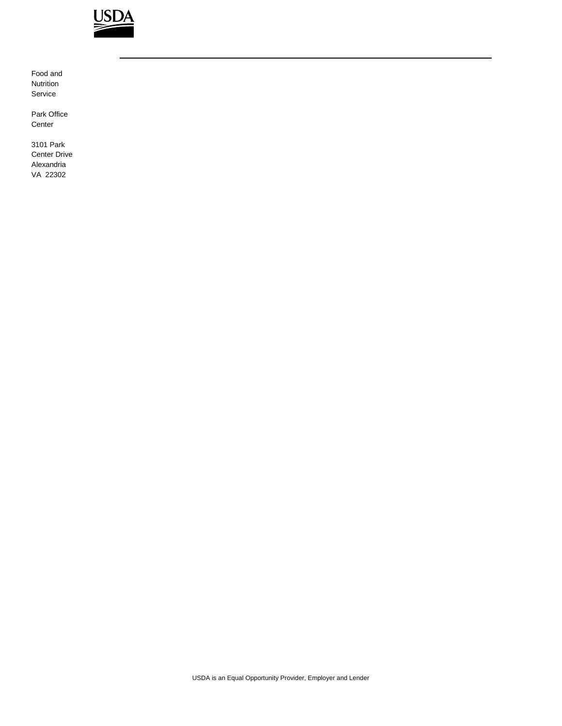

Food and Nutrition Service

Park Office Center

3101 Park Center Drive Alexandria VA 22302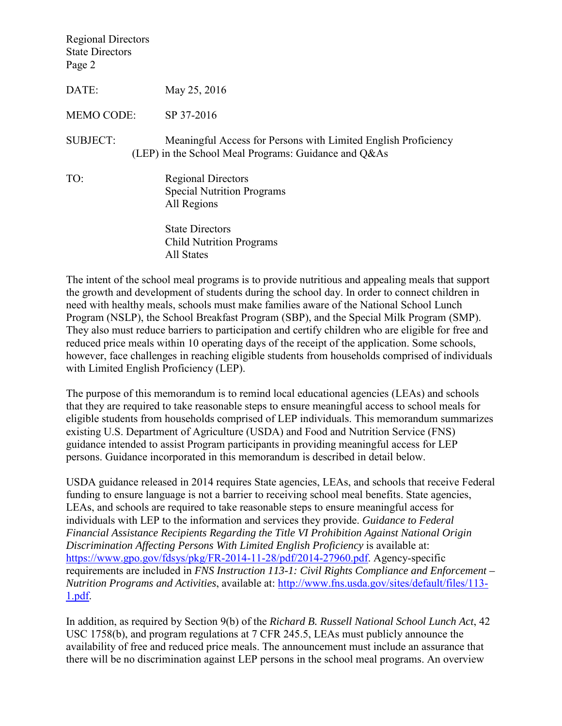Regional Directors State Directors Page 2

DATE: May 25, 2016

MEMO CODE: SP 37-2016

- SUBJECT: Meaningful Access for Persons with Limited English Proficiency (LEP) in the School Meal Programs: Guidance and Q&As
- TO: Regional Directors Special Nutrition Programs All Regions

 State Directors Child Nutrition Programs All States

The intent of the school meal programs is to provide nutritious and appealing meals that support the growth and development of students during the school day. In order to connect children in need with healthy meals, schools must make families aware of the National School Lunch Program (NSLP), the School Breakfast Program (SBP), and the Special Milk Program (SMP). They also must reduce barriers to participation and certify children who are eligible for free and reduced price meals within 10 operating days of the receipt of the application. Some schools, however, face challenges in reaching eligible students from households comprised of individuals with Limited English Proficiency (LEP).

The purpose of this memorandum is to remind local educational agencies (LEAs) and schools that they are required to take reasonable steps to ensure meaningful access to school meals for eligible students from households comprised of LEP individuals. This memorandum summarizes existing U.S. Department of Agriculture (USDA) and Food and Nutrition Service (FNS) guidance intended to assist Program participants in providing meaningful access for LEP persons. Guidance incorporated in this memorandum is described in detail below.

USDA guidance released in 2014 requires State agencies, LEAs, and schools that receive Federal funding to ensure language is not a barrier to receiving school meal benefits. State agencies, LEAs, and schools are required to take reasonable steps to ensure meaningful access for individuals with LEP to the information and services they provide. *Guidance to Federal Financial Assistance Recipients Regarding the Title VI Prohibition Against National Origin Discrimination Affecting Persons With Limited English Proficiency* is available at: [https://www.gpo.gov/fdsys/pkg/FR-2014-11-28/pdf/2014-27960.pdf.](https://www.gpo.gov/fdsys/pkg/FR-2014-11-28/pdf/2014-27960.pdf) Agency-specific requirements are included in *FNS Instruction 113-1: Civil Rights Compliance and Enforcement – Nutrition Programs and Activities*, available at: [http://www.fns.usda.gov/sites/default/files/113-](http://www.fns.usda.gov/sites/default/files/113-1.pdf) [1.pdf.](http://www.fns.usda.gov/sites/default/files/113-1.pdf)

In addition, as required by Section 9(b) of the *Richard B. Russell National School Lunch Act*, 42 USC 1758(b), and program regulations at 7 CFR 245.5, LEAs must publicly announce the availability of free and reduced price meals. The announcement must include an assurance that there will be no discrimination against LEP persons in the school meal programs. An overview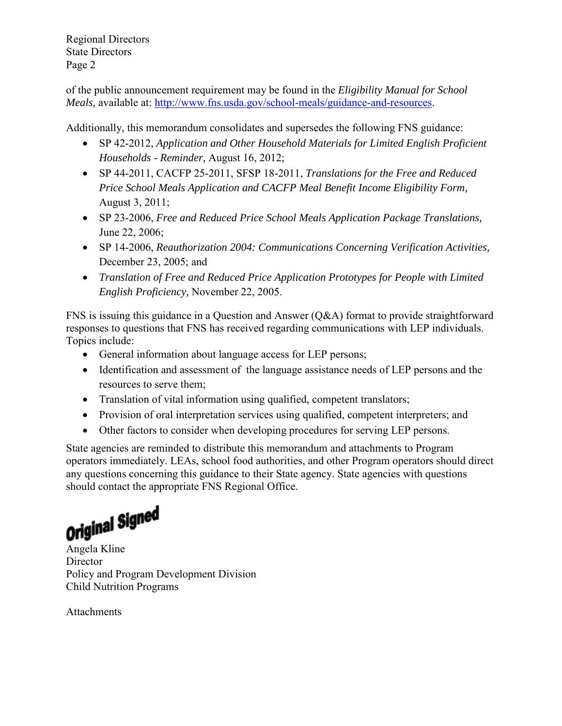Regional Directors State Directors Page 2

of the public announcement requirement may be found in the *Eligibility Manual for School Meals,* available at: [http://www.fns.usda.gov/school-meals/guidance-and-resources.](http://www.fns.usda.gov/school-meals/guidance-and-resources)

Additionally, this memorandum consolidates and supersedes the following FNS guidance:

- SP 42-2012, *Application and Other Household Materials for Limited English Proficient Households - Reminder,* August 16, 2012;
- SP 44-2011, CACFP 25-2011, SFSP 18-2011, *Translations for the Free and Reduced Price School Meals Application and CACFP Meal Benefit Income Eligibility Form,*  August 3, 2011;
- SP 23-2006, *Free and Reduced Price School Meals Application Package Translations,*  June 22, 2006;
- SP 14-2006, *Reauthorization 2004: Communications Concerning Verification Activities,*  December 23, 2005; and
- *Translation of Free and Reduced Price Application Prototypes for People with Limited English Proficiency,* November 22, 2005.

FNS is issuing this guidance in a Question and Answer (Q&A) format to provide straightforward responses to questions that FNS has received regarding communications with LEP individuals. Topics include:

- General information about language access for LEP persons;
- Identification and assessment of the language assistance needs of LEP persons and the resources to serve them;
- Translation of vital information using qualified, competent translators;
- Provision of oral interpretation services using qualified, competent interpreters; and
- Other factors to consider when developing procedures for serving LEP persons.

State agencies are reminded to distribute this memorandum and attachments to Program operators immediately. LEAs, school food authorities, and other Program operators should direct any questions concerning this guidance to their State agency. State agencies with questions should contact the appropriate FNS Regional Office.

**Original Signed**<br>Angela Kline

**Director** Policy and Program Development Division Child Nutrition Programs

**Attachments**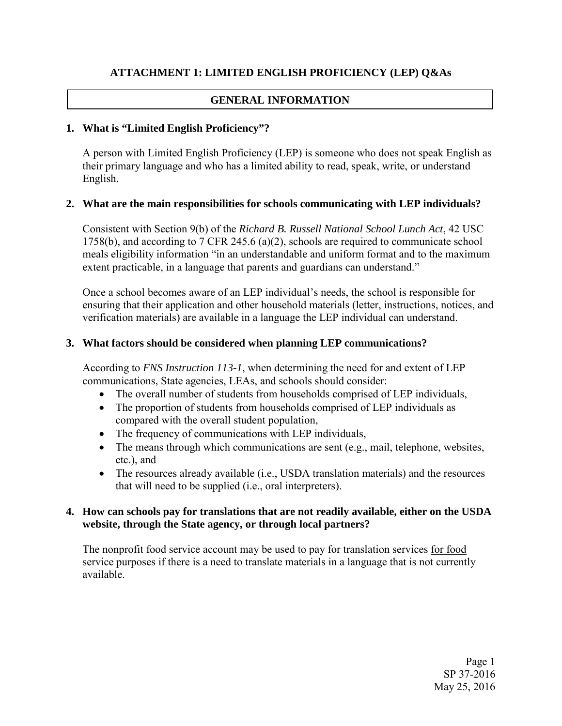# **ATTACHMENT 1: LIMITED ENGLISH PROFICIENCY (LEP) Q&As**

# **GENERAL INFORMATION**

## **1. What is "Limited English Proficiency"?**

A person with Limited English Proficiency (LEP) is someone who does not speak English as their primary language and who has a limited ability to read, speak, write, or understand English.

#### **2. What are the main responsibilities for schools communicating with LEP individuals?**

Consistent with Section 9(b) of the *Richard B. Russell National School Lunch Act*, 42 USC 1758(b), and according to 7 CFR 245.6 (a)(2), schools are required to communicate school meals eligibility information "in an understandable and uniform format and to the maximum extent practicable, in a language that parents and guardians can understand."

Once a school becomes aware of an LEP individual's needs, the school is responsible for ensuring that their application and other household materials (letter, instructions, notices, and verification materials) are available in a language the LEP individual can understand.

## **3. What factors should be considered when planning LEP communications?**

According to *FNS Instruction 113-1*, when determining the need for and extent of LEP communications, State agencies, LEAs, and schools should consider:

- The overall number of students from households comprised of LEP individuals,
- The proportion of students from households comprised of LEP individuals as compared with the overall student population,
- The frequency of communications with LEP individuals,
- The means through which communications are sent (e.g., mail, telephone, websites, etc.), and
- The resources already available (i.e., USDA translation materials) and the resources that will need to be supplied (i.e., oral interpreters).

#### **4. How can schools pay for translations that are not readily available, either on the USDA website, through the State agency, or through local partners?**

The nonprofit food service account may be used to pay for translation services for food service purposes if there is a need to translate materials in a language that is not currently available.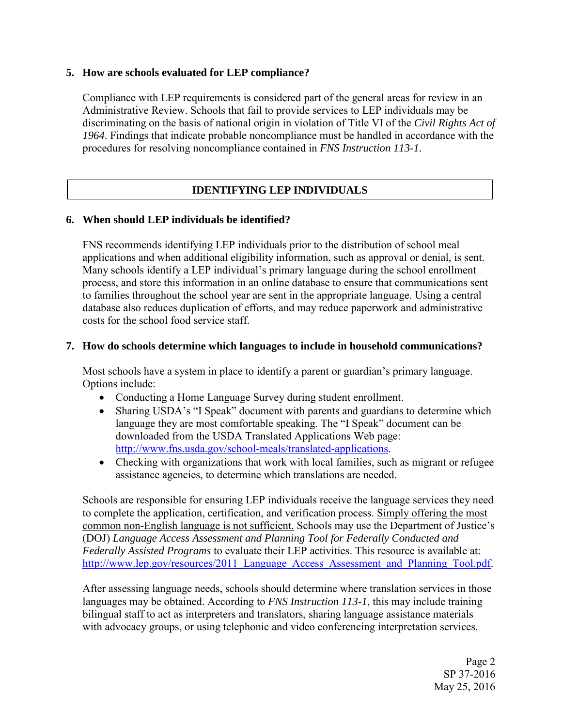#### **5. How are schools evaluated for LEP compliance?**

Compliance with LEP requirements is considered part of the general areas for review in an Administrative Review. Schools that fail to provide services to LEP individuals may be discriminating on the basis of national origin in violation of Title VI of the *Civil Rights Act of 1964*. Findings that indicate probable noncompliance must be handled in accordance with the procedures for resolving noncompliance contained in *FNS Instruction 113-1.*

# **IDENTIFYING LEP INDIVIDUALS**

#### **6. When should LEP individuals be identified?**

FNS recommends identifying LEP individuals prior to the distribution of school meal applications and when additional eligibility information, such as approval or denial, is sent. Many schools identify a LEP individual's primary language during the school enrollment process, and store this information in an online database to ensure that communications sent to families throughout the school year are sent in the appropriate language. Using a central database also reduces duplication of efforts, and may reduce paperwork and administrative costs for the school food service staff.

#### **7. How do schools determine which languages to include in household communications?**

Most schools have a system in place to identify a parent or guardian's primary language. Options include:

- Conducting a Home Language Survey during student enrollment.
- Sharing USDA's "I Speak" document with parents and guardians to determine which language they are most comfortable speaking. The "I Speak" document can be downloaded from the USDA Translated Applications Web page: [http://www.fns.usda.gov/school-meals/translated-applications.](http://www.fns.usda.gov/school-meals/translated-applications)
- Checking with organizations that work with local families, such as migrant or refugee assistance agencies, to determine which translations are needed.

Schools are responsible for ensuring LEP individuals receive the language services they need to complete the application, certification, and verification process. Simply offering the most common non-English language is not sufficient. Schools may use the Department of Justice's (DOJ) *Language Access Assessment and Planning Tool for Federally Conducted and Federally Assisted Programs* to evaluate their LEP activities. This resource is available at: http://www.lep.gov/resources/2011 Language Access Assessment and Planning Tool.pdf.

After assessing language needs, schools should determine where translation services in those languages may be obtained. According to *FNS Instruction 113-1*, this may include training bilingual staff to act as interpreters and translators, sharing language assistance materials with advocacy groups, or using telephonic and video conferencing interpretation services.

> Page 2 SP 37-2016 May 25, 2016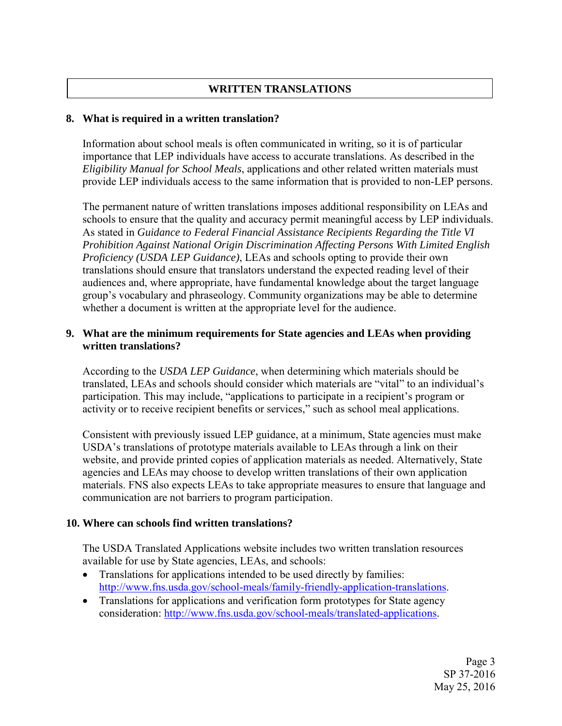# **WRITTEN TRANSLATIONS**

#### **8. What is required in a written translation?**

Information about school meals is often communicated in writing, so it is of particular importance that LEP individuals have access to accurate translations. As described in the *Eligibility Manual for School Meals*, applications and other related written materials must provide LEP individuals access to the same information that is provided to non-LEP persons.

The permanent nature of written translations imposes additional responsibility on LEAs and schools to ensure that the quality and accuracy permit meaningful access by LEP individuals. As stated in *Guidance to Federal Financial Assistance Recipients Regarding the Title VI Prohibition Against National Origin Discrimination Affecting Persons With Limited English Proficiency (USDA LEP Guidance)*, LEAs and schools opting to provide their own translations should ensure that translators understand the expected reading level of their audiences and, where appropriate, have fundamental knowledge about the target language group's vocabulary and phraseology. Community organizations may be able to determine whether a document is written at the appropriate level for the audience.

## **9. What are the minimum requirements for State agencies and LEAs when providing written translations?**

According to the *USDA LEP Guidance*, when determining which materials should be translated, LEAs and schools should consider which materials are "vital" to an individual's participation. This may include, "applications to participate in a recipient's program or activity or to receive recipient benefits or services," such as school meal applications.

Consistent with previously issued LEP guidance, at a minimum, State agencies must make USDA's translations of prototype materials available to LEAs through a link on their website, and provide printed copies of application materials as needed. Alternatively, State agencies and LEAs may choose to develop written translations of their own application materials. FNS also expects LEAs to take appropriate measures to ensure that language and communication are not barriers to program participation.

#### **10. Where can schools find written translations?**

The USDA Translated Applications website includes two written translation resources available for use by State agencies, LEAs, and schools:

- Translations for applications intended to be used directly by families: http://www.fns.usda.gov/school-meals/family-friendly-application-translations.
- Translations for applications and verification form prototypes for State agency consideration: [http://www.fns.usda.gov/school-meals/translated-applications.](http://www.fns.usda.gov/school-meals/translated-applications)

Page 3 SP 37-2016 May 25, 2016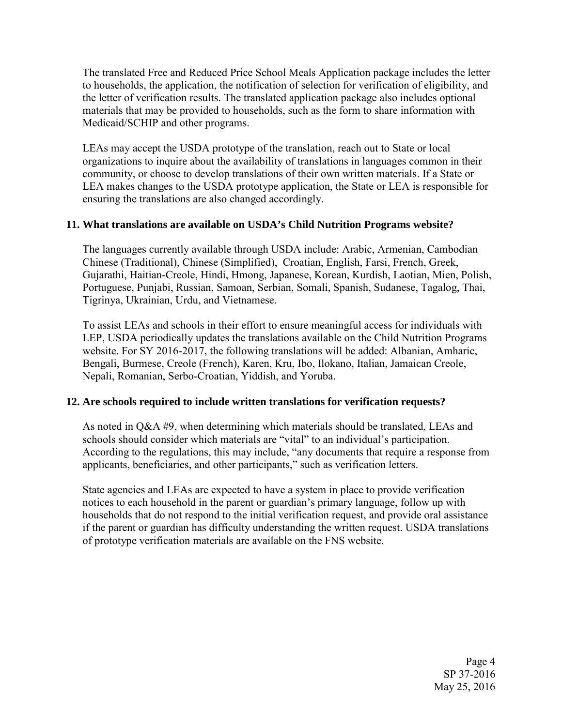The translated Free and Reduced Price School Meals Application package includes the letter to households, the application, the notification of selection for verification of eligibility, and the letter of verification results. The translated application package also includes optional materials that may be provided to households, such as the form to share information with Medicaid/SCHIP and other programs.

LEAs may accept the USDA prototype of the translation, reach out to State or local organizations to inquire about the availability of translations in languages common in their community, or choose to develop translations of their own written materials. If a State or LEA makes changes to the USDA prototype application, the State or LEA is responsible for ensuring the translations are also changed accordingly.

#### **11. What translations are available on USDA's Child Nutrition Programs website?**

The languages currently available through USDA include: Arabic, Armenian, Cambodian Chinese (Traditional), Chinese (Simplified), Croatian, English, Farsi, French, Greek, Gujarathi, Haitian-Creole, Hindi, Hmong, Japanese, Korean, Kurdish, Laotian, Mien, Polish, Portuguese, Punjabi, Russian, Samoan, Serbian, Somali, Spanish, Sudanese, Tagalog, Thai, Tigrinya, Ukrainian, Urdu, and Vietnamese.

To assist LEAs and schools in their effort to ensure meaningful access for individuals with LEP, USDA periodically updates the translations available on the Child Nutrition Programs website. For SY 2016-2017, the following translations will be added: Albanian, Amharic, Bengali, Burmese, Creole (French), Karen, Kru, Ibo, Ilokano, Italian, Jamaican Creole, Nepali, Romanian, Serbo-Croatian, Yiddish, and Yoruba.

#### **12. Are schools required to include written translations for verification requests?**

As noted in Q&A #9, when determining which materials should be translated, LEAs and schools should consider which materials are "vital" to an individual's participation. According to the regulations, this may include, "any documents that require a response from applicants, beneficiaries, and other participants," such as verification letters.

State agencies and LEAs are expected to have a system in place to provide verification notices to each household in the parent or guardian's primary language, follow up with households that do not respond to the initial verification request, and provide oral assistance if the parent or guardian has difficulty understanding the written request. USDA translations of prototype verification materials are available on the FNS website.

> Page 4 SP 37-2016 May 25, 2016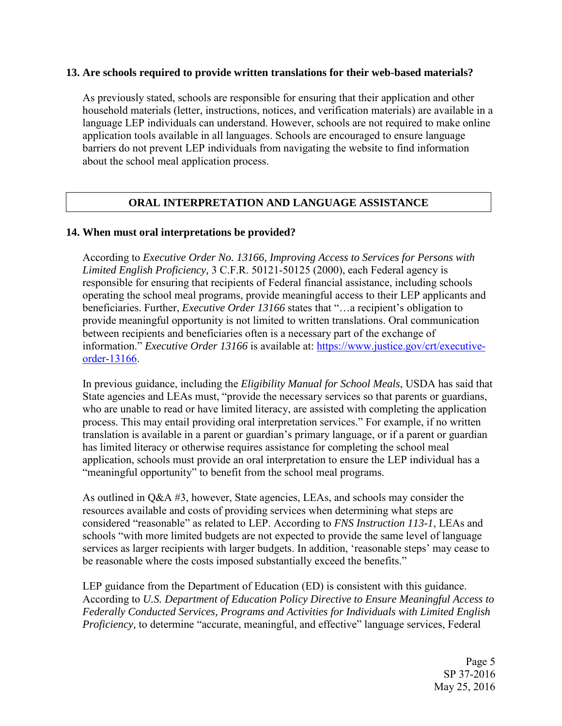#### **13. Are schools required to provide written translations for their web-based materials?**

As previously stated, schools are responsible for ensuring that their application and other household materials (letter, instructions, notices, and verification materials) are available in a language LEP individuals can understand. However, schools are not required to make online application tools available in all languages. Schools are encouraged to ensure language barriers do not prevent LEP individuals from navigating the website to find information about the school meal application process.

## **ORAL INTERPRETATION AND LANGUAGE ASSISTANCE**

#### **14. When must oral interpretations be provided?**

According to *Executive Order No. 13166, Improving Access to Services for Persons with Limited English Proficiency,* 3 C.F.R. 50121-50125 (2000), each Federal agency is responsible for ensuring that recipients of Federal financial assistance, including schools operating the school meal programs, provide meaningful access to their LEP applicants and beneficiaries. Further, *Executive Order 13166* states that "…a recipient's obligation to provide meaningful opportunity is not limited to written translations. Oral communication between recipients and beneficiaries often is a necessary part of the exchange of information." *Executive Order 13166* is available at: [https://www.justice.gov/crt/executive](https://www.justice.gov/crt/executive-order-13166)[order-13166.](https://www.justice.gov/crt/executive-order-13166)

In previous guidance, including the *Eligibility Manual for School Meals*, USDA has said that State agencies and LEAs must, "provide the necessary services so that parents or guardians, who are unable to read or have limited literacy, are assisted with completing the application process. This may entail providing oral interpretation services." For example, if no written translation is available in a parent or guardian's primary language, or if a parent or guardian has limited literacy or otherwise requires assistance for completing the school meal application, schools must provide an oral interpretation to ensure the LEP individual has a "meaningful opportunity" to benefit from the school meal programs.

As outlined in Q&A #3, however, State agencies, LEAs, and schools may consider the resources available and costs of providing services when determining what steps are considered "reasonable" as related to LEP. According to *FNS Instruction 113-1*, LEAs and schools "with more limited budgets are not expected to provide the same level of language services as larger recipients with larger budgets. In addition, 'reasonable steps' may cease to be reasonable where the costs imposed substantially exceed the benefits."

LEP guidance from the Department of Education (ED) is consistent with this guidance. According to *U.S. Department of Education Policy Directive to Ensure Meaningful Access to Federally Conducted Services, Programs and Activities for Individuals with Limited English Proficiency*, to determine "accurate, meaningful, and effective" language services, Federal

> Page 5 SP 37-2016 May 25, 2016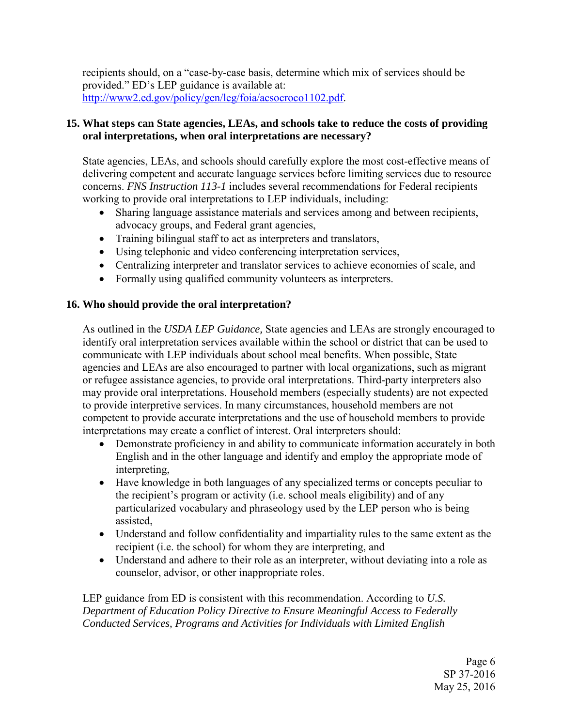recipients should, on a "case-by-case basis, determine which mix of services should be provided." ED's LEP guidance is available at: [http://www2.ed.gov/policy/gen/leg/foia/acsocroco1102.pdf.](http://www2.ed.gov/policy/gen/leg/foia/acsocroco1102.pdf)

# **15. What steps can State agencies, LEAs, and schools take to reduce the costs of providing oral interpretations, when oral interpretations are necessary?**

State agencies, LEAs, and schools should carefully explore the most cost-effective means of delivering competent and accurate language services before limiting services due to resource concerns. *FNS Instruction 113-1* includes several recommendations for Federal recipients working to provide oral interpretations to LEP individuals, including:

- Sharing language assistance materials and services among and between recipients, advocacy groups, and Federal grant agencies,
- Training bilingual staff to act as interpreters and translators,
- Using telephonic and video conferencing interpretation services,
- Centralizing interpreter and translator services to achieve economies of scale, and
- Formally using qualified community volunteers as interpreters.

# **16. Who should provide the oral interpretation?**

As outlined in the *USDA LEP Guidance,* State agencies and LEAs are strongly encouraged to identify oral interpretation services available within the school or district that can be used to communicate with LEP individuals about school meal benefits. When possible, State agencies and LEAs are also encouraged to partner with local organizations, such as migrant or refugee assistance agencies, to provide oral interpretations. Third-party interpreters also may provide oral interpretations. Household members (especially students) are not expected to provide interpretive services. In many circumstances, household members are not competent to provide accurate interpretations and the use of household members to provide interpretations may create a conflict of interest. Oral interpreters should:

- Demonstrate proficiency in and ability to communicate information accurately in both English and in the other language and identify and employ the appropriate mode of interpreting,
- Have knowledge in both languages of any specialized terms or concepts peculiar to the recipient's program or activity (i.e. school meals eligibility) and of any particularized vocabulary and phraseology used by the LEP person who is being assisted,
- Understand and follow confidentiality and impartiality rules to the same extent as the recipient (i.e. the school) for whom they are interpreting, and
- Understand and adhere to their role as an interpreter, without deviating into a role as counselor, advisor, or other inappropriate roles.

LEP guidance from ED is consistent with this recommendation. According to *U.S. Department of Education Policy Directive to Ensure Meaningful Access to Federally Conducted Services, Programs and Activities for Individuals with Limited English* 

> Page 6 SP 37-2016 May 25, 2016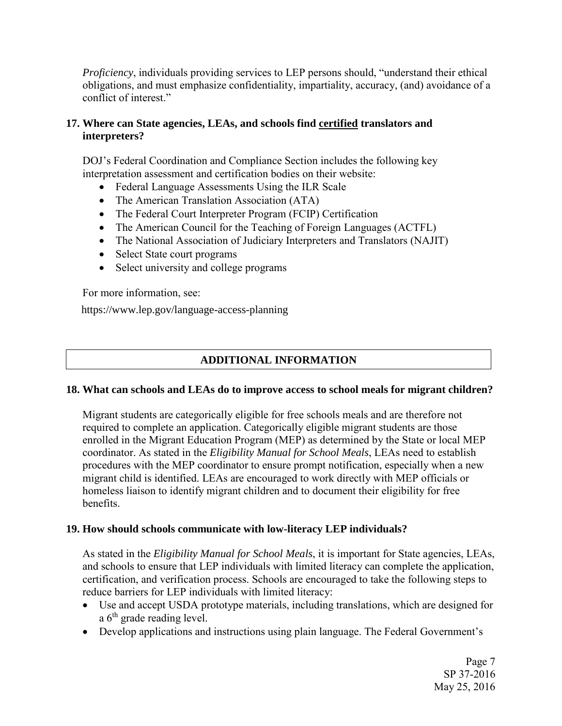*Proficiency*, individuals providing services to LEP persons should, "understand their ethical obligations, and must emphasize confidentiality, impartiality, accuracy, (and) avoidance of a conflict of interest."

# **17. Where can State agencies, LEAs, and schools find certified translators and interpreters?**

DOJ's Federal Coordination and Compliance Section includes the following key interpretation assessment and certification bodies on their website:

- Federal Language Assessments Using the ILR Scale
- The American Translation Association (ATA)
- The Federal Court Interpreter Program (FCIP) Certification
- The American Council for the Teaching of Foreign Languages (ACTFL)
- The National Association of Judiciary Interpreters and Translators (NAJIT)
- Select State court programs
- Select university and college programs

For more information, see:

<https://www.lep.gov/language-access-planning>

# **ADDITIONAL INFORMATION**

## **18. What can schools and LEAs do to improve access to school meals for migrant children?**

Migrant students are categorically eligible for free schools meals and are therefore not required to complete an application. Categorically eligible migrant students are those enrolled in the Migrant Education Program (MEP) as determined by the State or local MEP coordinator. As stated in the *Eligibility Manual for School Meals*, LEAs need to establish procedures with the MEP coordinator to ensure prompt notification, especially when a new migrant child is identified. LEAs are encouraged to work directly with MEP officials or homeless liaison to identify migrant children and to document their eligibility for free benefits.

## **19. How should schools communicate with low-literacy LEP individuals?**

As stated in the *Eligibility Manual for School Meals*, it is important for State agencies, LEAs, and schools to ensure that LEP individuals with limited literacy can complete the application, certification, and verification process. Schools are encouraged to take the following steps to reduce barriers for LEP individuals with limited literacy:

- Use and accept USDA prototype materials, including translations, which are designed for a 6<sup>th</sup> grade reading level.
- Develop applications and instructions using plain language. The Federal Government's

Page 7 SP 37-2016 May 25, 2016